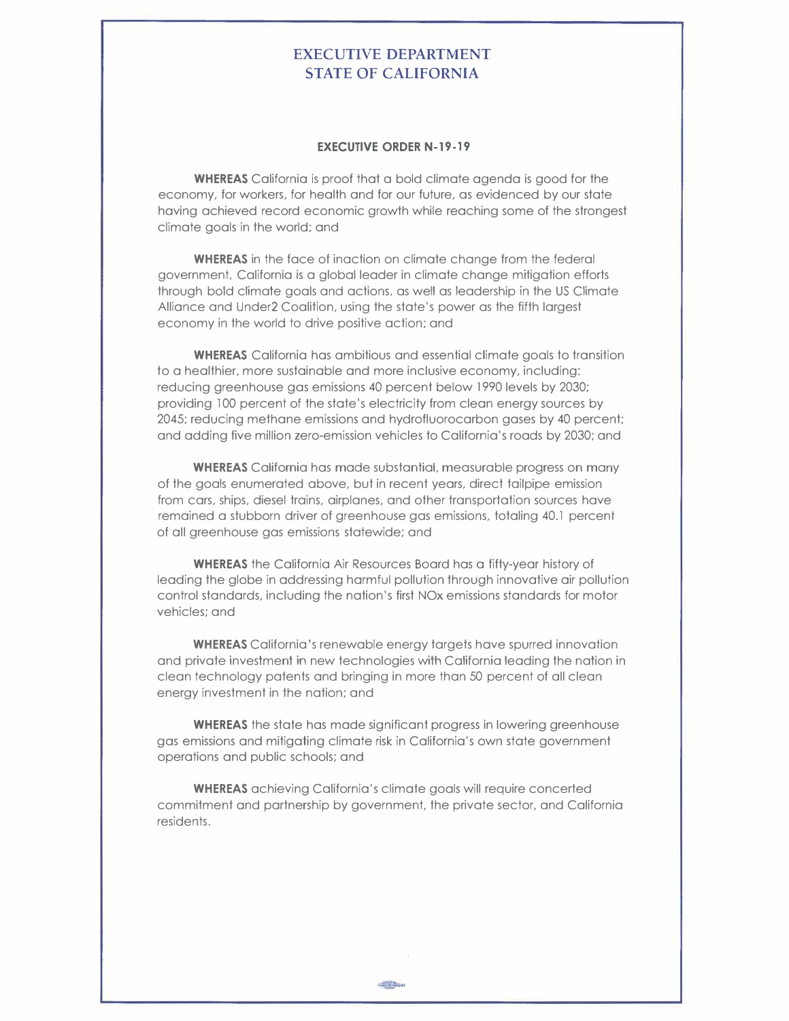## **EXECUTIVE DEPARTMENT STATE OF CALIFORNIA**

## **EXECUTIVE ORDER N-19-19**

**WHEREAS** California is proof that a bold climate agenda is good for the economy, for workers, for health and for our future, as evidenced by our state having achieved record economic growth while reaching some of the strongest climate goals in the world; and

**WHEREAS** in the face of inaction on climate change from the federal government, California is a global leader in climate change mitigation efforts through bold climate goals and actions, as well as leadership in the US Climate Alliance and Under2 Coalition, using the state's power as the fifth largest economy in the world to drive positive action; and

**WHEREAS** California has ambitious and essential climate goals to transition to a healthier, more sustainable and more inclusive economy, including: reducing greenhouse gas emissions 40 percent below 1990 levels by 2030; providing 100 percent of the state's electricity from clean energy sources by 2045; reducing methane emissions and hydrofluorocarbon gases by 40 percent; and adding five million zero-emission vehicles to California's roads by 2030; and

**WHEREAS** California has made substantial, measurable progress on many of the goals enumerated above, but in recent years, direct tailpipe emission from cars, ships, diesel trains, airplanes, and other transportation sources have remained a stubborn driver of greenhouse gas emissions, totaling 40.1 percent of all greenhouse gas emissions statewide; and

**WHEREAS** the California Air Resources Board has a fifty-year history of leading the globe in addressing harmful pollution through innovative air pollution control standards, including the nation's first NOx emissions standards for motor vehicles; and

**WHEREAS** California's renewable energy targets have spurred innovation and private investment in new technologies with California leading the nation in clean technology patents and bringing in more than 50 percent of all clean energy investment in the nation; and

**WHEREAS** the state has made significant progress in lowering greenhouse gas emissions and mitigating climate risk in California's own state government operations and public schools; and

**WHEREAS** achieving California's climate goals will require concerted commitment and partnership by government, the private sector, and California residents.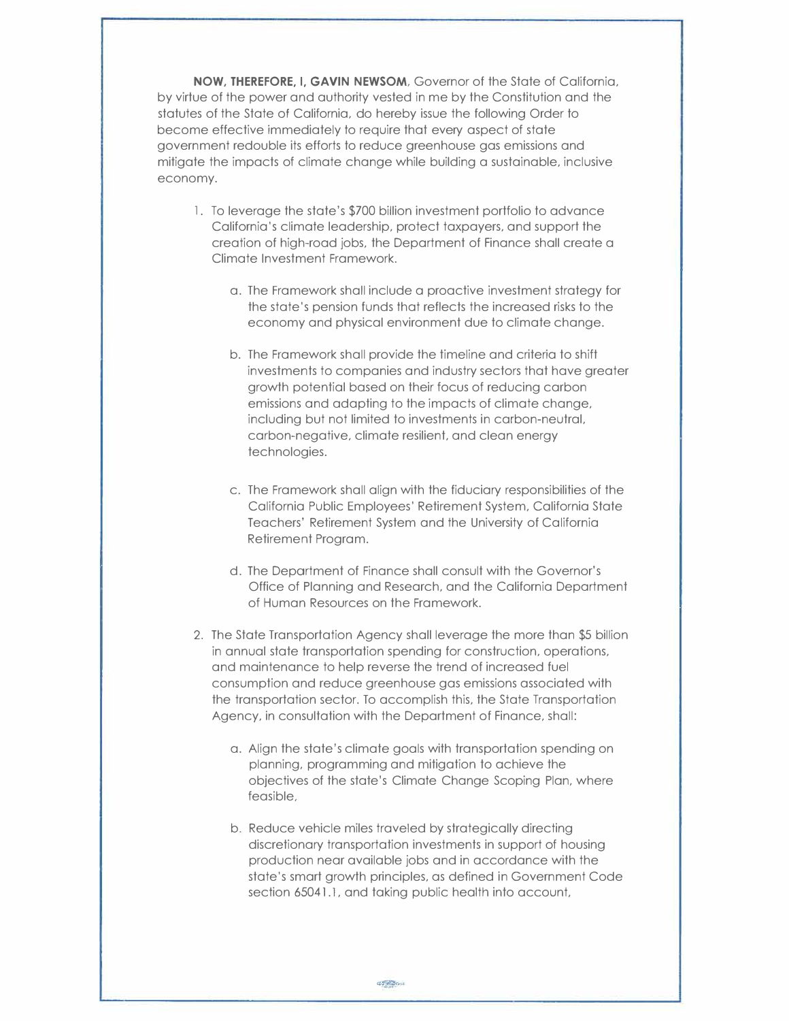**NOW, THEREFORE, I, GAVIN NEWSOM,** Governor of the State of California, by virtue of the power and authority vested in me by the Constitution and the statutes of the State of California, do hereby issue the following Order to become effective immediately to require that every aspect of state government redouble its efforts to reduce greenhouse gas emissions and mitigate the impacts of climate change while building a sustainable, inclusive economy.

- l. To leverage the state's \$700 billion investment portfolio to advance California's climate leadership, protect taxpayers, and support the creation of high-road jobs, the Department of Finance shall create a Climate Investment Framework.
	- a. The Framework shall include a proactive investment strategy for the state's pension funds that reflects the increased risks to the economy and physical environment due to climate change.
	- b. The Framework shall provide the timeline and criteria to shift investments to companies and industry sectors that have greater growth potential based on their focus of reducing carbon emissions and adapting to the impacts of climate change, including but not limited to investments in carbon-neutral, carbon-negative, climate resilient, and clean energy technologies.
	- c. The Framework shall align with the fiduciary responsibilities of the California Public Employees' Retirement System, California State Teachers' Retirement System and the University of California Retirement Program.
	- d. The Department of Finance shall consult with the Governor's Office of Planning and Research, and the California Department of Human Resources on the Framework.
- 2. The State Transportation Agency shall leverage the more than \$5 billion in annual state transportation spending for construction, operations, and maintenance to help reverse the trend of increased fuel consumption and reduce greenhouse gas emissions associated with the transportation sector. To accomplish this, the State Transportation Agency, in consultation with the Department of Finance, shall:
	- a. Align the state's climate goals with transportation spending on planning, programming and mitigation to achieve the objectives of the state's Climate Change Scoping Plan, where feasible,
	- b. Reduce vehicle miles traveled by strategically directing discretionary transportation investments in support of housing production near available jobs and in accordance with the state's smart growth principles, as defined in Government Code section 65041.1, and taking public health into account,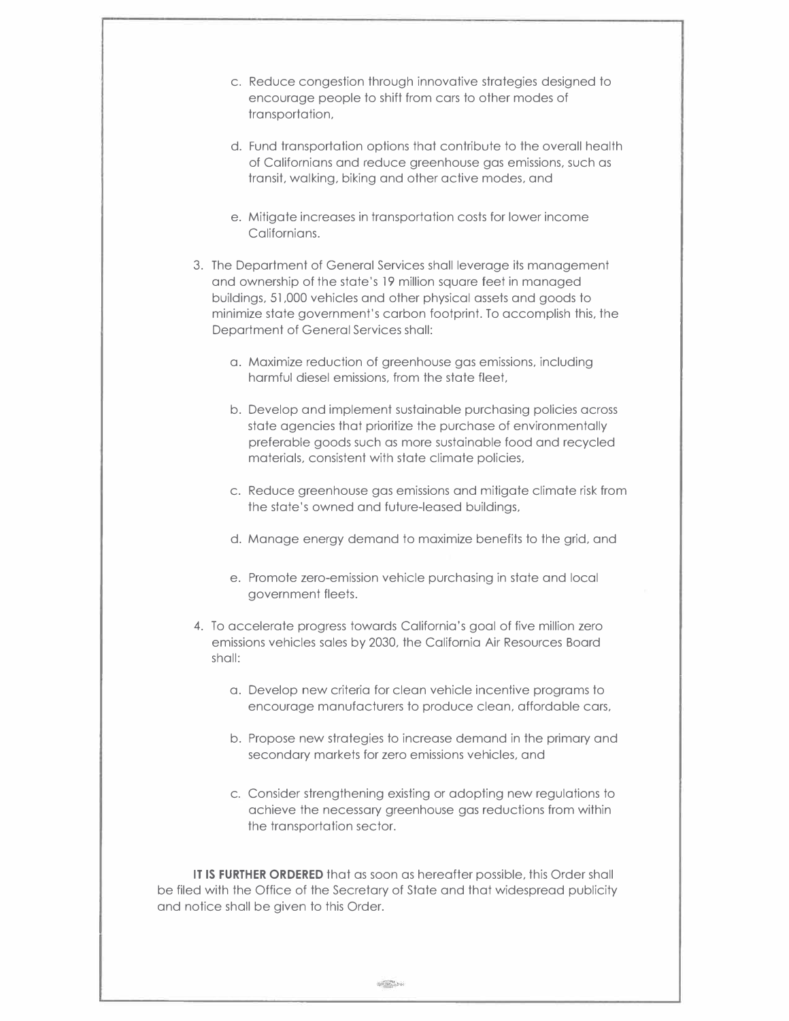| c. Reduce congestion through innovative strategies designed to<br>encourage people to shift from cars to other modes of<br>transportation,                                                                                                                                                                                   |
|------------------------------------------------------------------------------------------------------------------------------------------------------------------------------------------------------------------------------------------------------------------------------------------------------------------------------|
| d. Fund transportation options that contribute to the overall health<br>of Californians and reduce greenhouse gas emissions, such as<br>transit, walking, biking and other active modes, and                                                                                                                                 |
| e. Mitigate increases in transportation costs for lower income<br>Californians.                                                                                                                                                                                                                                              |
| 3. The Department of General Services shall leverage its management<br>and ownership of the state's 19 million square feet in managed<br>buildings, 51,000 vehicles and other physical assets and goods to<br>minimize state government's carbon footprint. To accomplish this, the<br>Department of General Services shall: |
| a. Maximize reduction of greenhouse gas emissions, including<br>harmful diesel emissions, from the state fleet,                                                                                                                                                                                                              |
| b. Develop and implement sustainable purchasing policies across<br>state agencies that prioritize the purchase of environmentally<br>preferable goods such as more sustainable food and recycled<br>materials, consistent with state climate policies,                                                                       |
| c. Reduce greenhouse gas emissions and mitigate climate risk from<br>the state's owned and future-leased buildings,                                                                                                                                                                                                          |
| d. Manage energy demand to maximize benefits to the grid, and                                                                                                                                                                                                                                                                |
| e. Promote zero-emission vehicle purchasing in state and local<br>government fleets.                                                                                                                                                                                                                                         |
| 4. To accelerate progress towards California's goal of five million zero<br>emissions vehicles sales by 2030, the California Air Resources Board<br>shall:                                                                                                                                                                   |
| a. Develop new criteria for clean vehicle incentive programs to<br>encourage manufacturers to produce clean, affordable cars,                                                                                                                                                                                                |
| b. Propose new strategies to increase demand in the primary and<br>secondary markets for zero emissions vehicles, and                                                                                                                                                                                                        |
| c. Consider strengthening existing or adopting new regulations to<br>achieve the necessary greenhouse gas reductions from within<br>the transportation sector.                                                                                                                                                               |
| IT IS FURTHER ORDERED that as soon as hereafter possible, this Order shall<br>be filed with the Office of the Secretary of State and that widespread publicity<br>and notice shall be given to this Order.                                                                                                                   |